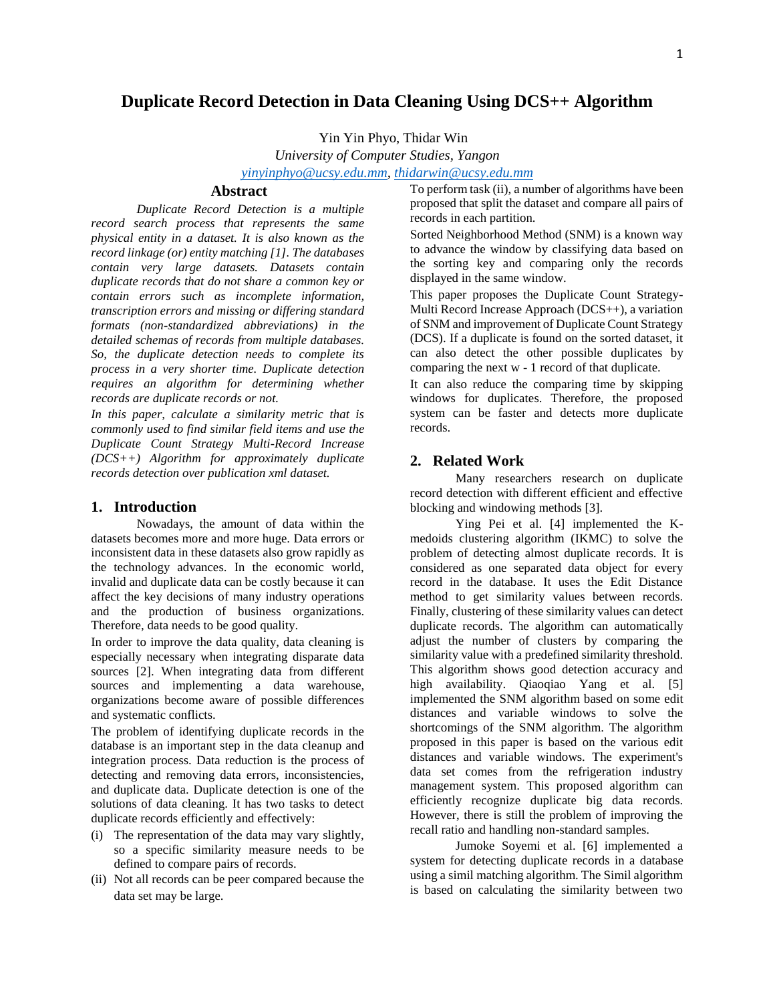# **Duplicate Record Detection in Data Cleaning Using DCS++ Algorithm**

Yin Yin Phyo, Thidar Win

*University of Computer Studies, Yangon [yinyinphyo@ucsy.edu.mm,](mailto:yinyinphyo@ucsy.edu.mm) [thidarwin@ucsy.edu.mm](mailto:thidarwin@ucsy.edu.mm)*

# **Abstract**

*Duplicate Record Detection is a multiple record search process that represents the same physical entity in a dataset. It is also known as the record linkage (or) entity matching [1]. The databases contain very large datasets. Datasets contain duplicate records that do not share a common key or contain errors such as incomplete information, transcription errors and missing or differing standard formats (non-standardized abbreviations) in the detailed schemas of records from multiple databases. So, the duplicate detection needs to complete its process in a very shorter time. Duplicate detection requires an algorithm for determining whether records are duplicate records or not.*

*In this paper, calculate a similarity metric that is commonly used to find similar field items and use the Duplicate Count Strategy Multi-Record Increase (DCS++) Algorithm for approximately duplicate records detection over publication xml dataset.*

#### **1. Introduction**

Nowadays, the amount of data within the datasets becomes more and more huge. Data errors or inconsistent data in these datasets also grow rapidly as the technology advances. In the economic world, invalid and duplicate data can be costly because it can affect the key decisions of many industry operations and the production of business organizations. Therefore, data needs to be good quality.

In order to improve the data quality, data cleaning is especially necessary when integrating disparate data sources [2]. When integrating data from different sources and implementing a data warehouse, organizations become aware of possible differences and systematic conflicts.

The problem of identifying duplicate records in the database is an important step in the data cleanup and integration process. Data reduction is the process of detecting and removing data errors, inconsistencies, and duplicate data. Duplicate detection is one of the solutions of data cleaning. It has two tasks to detect duplicate records efficiently and effectively:

- (i) The representation of the data may vary slightly, so a specific similarity measure needs to be defined to compare pairs of records.
- (ii) Not all records can be peer compared because the data set may be large.

To perform task (ii), a number of algorithms have been proposed that split the dataset and compare all pairs of records in each partition.

Sorted Neighborhood Method (SNM) is a known way to advance the window by classifying data based on the sorting key and comparing only the records displayed in the same window.

This paper proposes the Duplicate Count Strategy-Multi Record Increase Approach (DCS++), a variation of SNM and improvement of Duplicate Count Strategy (DCS). If a duplicate is found on the sorted dataset, it can also detect the other possible duplicates by comparing the next w - 1 record of that duplicate.

It can also reduce the comparing time by skipping windows for duplicates. Therefore, the proposed system can be faster and detects more duplicate records.

#### **2. Related Work**

Many researchers research on duplicate record detection with different efficient and effective blocking and windowing methods [3].

Ying Pei et al. [4] implemented the Kmedoids clustering algorithm (IKMC) to solve the problem of detecting almost duplicate records. It is considered as one separated data object for every record in the database. It uses the Edit Distance method to get similarity values between records. Finally, clustering of these similarity values can detect duplicate records. The algorithm can automatically adjust the number of clusters by comparing the similarity value with a predefined similarity threshold. This algorithm shows good detection accuracy and high availability. Qiaoqiao Yang et al. [5] implemented the SNM algorithm based on some edit distances and variable windows to solve the shortcomings of the SNM algorithm. The algorithm proposed in this paper is based on the various edit distances and variable windows. The experiment's data set comes from the refrigeration industry management system. This proposed algorithm can efficiently recognize duplicate big data records. However, there is still the problem of improving the recall ratio and handling non-standard samples.

Jumoke Soyemi et al. [6] implemented a system for detecting duplicate records in a database using a simil matching algorithm. The Simil algorithm is based on calculating the similarity between two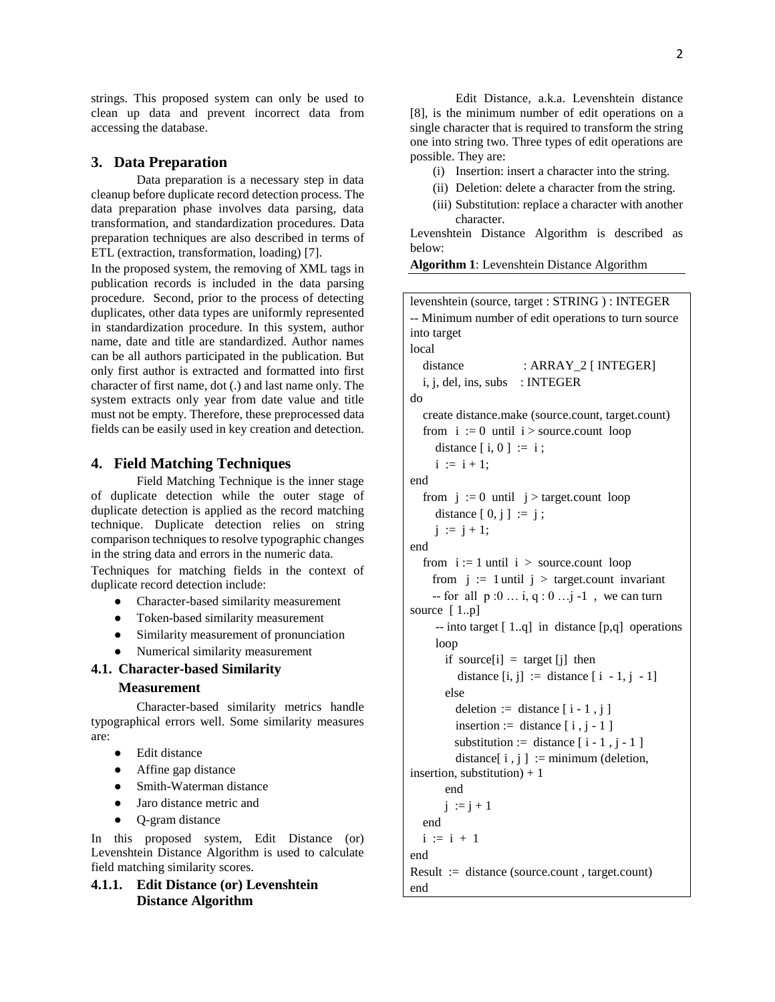strings. This proposed system can only be used to clean up data and prevent incorrect data from accessing the database.

#### **3. Data Preparation**

Data preparation is a necessary step in data cleanup before duplicate record detection process. The data preparation phase involves data parsing, data transformation, and standardization procedures. Data preparation techniques are also described in terms of ETL (extraction, transformation, loading) [7].

In the proposed system, the removing of XML tags in publication records is included in the data parsing procedure. Second, prior to the process of detecting duplicates, other data types are uniformly represented in standardization procedure. In this system, author name, date and title are standardized. Author names can be all authors participated in the publication. But only first author is extracted and formatted into first character of first name, dot (.) and last name only. The system extracts only year from date value and title must not be empty. Therefore, these preprocessed data fields can be easily used in key creation and detection.

#### **4. Field Matching Techniques**

Field Matching Technique is the inner stage of duplicate detection while the outer stage of duplicate detection is applied as the record matching technique. Duplicate detection relies on string comparison techniques to resolve typographic changes in the string data and errors in the numeric data.

Techniques for matching fields in the context of duplicate record detection include:

- Character-based similarity measurement
- Token-based similarity measurement
- Similarity measurement of pronunciation
- Numerical similarity measurement

### **4.1. Character-based Similarity**

### **Measurement**

Character-based similarity metrics handle typographical errors well. Some similarity measures are:

- Edit distance
- Affine gap distance
- Smith-Waterman distance
- Jaro distance metric and
- O-gram distance

In this proposed system, Edit Distance (or) Levenshtein Distance Algorithm is used to calculate field matching similarity scores.

# **4.1.1. Edit Distance (or) Levenshtein Distance Algorithm**

Edit Distance, a.k.a. Levenshtein distance [8], is the minimum number of edit operations on a single character that is required to transform the string one into string two. Three types of edit operations are possible. They are:

(i) Insertion: insert a character into the string.

- (ii) Deletion: delete a character from the string.
- (iii) Substitution: replace a character with another character.

Levenshtein Distance Algorithm is described as below:

**Algorithm 1**: Levenshtein Distance Algorithm

| levenshtein (source, target : STRING) : INTEGER     |
|-----------------------------------------------------|
| -- Minimum number of edit operations to turn source |
| into target                                         |
| local                                               |
| : ARRAY_2 [ INTEGER]<br>distance                    |
| i, j, del, ins, subs : INTEGER                      |
| do                                                  |
| create distance.make (source.count, target.count)   |
| from $i := 0$ until $i >$ source count loop         |
| distance $[i, 0] := i;$                             |
| $i := i + 1;$                                       |
| end                                                 |
| from $j := 0$ until $j >$ target.count loop         |
| distance $[0, j] := j;$                             |
| $j := j + 1;$                                       |
| end                                                 |
| from $i := 1$ until $i >$ source.count loop         |
| from $j := 1$ until $j >$ target.count invariant    |
| -- for all $p:0$ , $q:0$ j -1, we can turn          |
| source $[1p]$                                       |
| -- into target [1q] in distance [p,q] operations    |
| loop                                                |
| if source[i] = target [j] then                      |
| distance $[i, j] :=$ distance $[i - 1, j - 1]$      |
| else                                                |
| deletion := distance $[i - 1, j]$                   |
| insertion := distance $[i, j - 1]$                  |
| substitution := distance $[i - 1, j - 1]$           |
| distance[ $i, j$ ] := minimum (deletion,            |
| insertion, substitution) + $1$                      |
| end                                                 |
| $j := j + 1$                                        |
| end                                                 |
| $i := i + 1$                                        |
| end                                                 |
| $Result := distance (source.count, target.count)$   |
| end                                                 |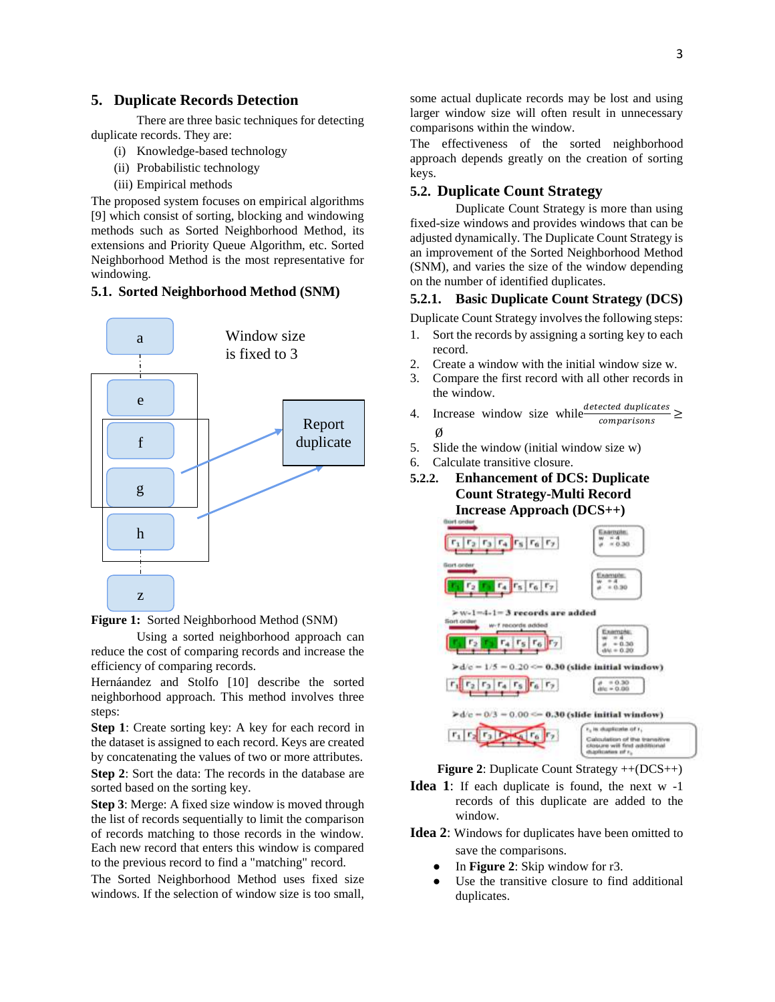#### **5. Duplicate Records Detection**

There are three basic techniques for detecting duplicate records. They are:

- (i) Knowledge-based technology
- (ii) Probabilistic technology
- (iii) Empirical methods

The proposed system focuses on empirical algorithms [9] which consist of sorting, blocking and windowing methods such as Sorted Neighborhood Method, its extensions and Priority Queue Algorithm, etc. Sorted Neighborhood Method is the most representative for windowing.

## **5.1. Sorted Neighborhood Method (SNM)**



**Figure 1:** Sorted Neighborhood Method (SNM)

Using a sorted neighborhood approach can reduce the cost of comparing records and increase the efficiency of comparing records.

Hernáandez and Stolfo [10] describe the sorted neighborhood approach. This method involves three steps:

**Step 1**: Create sorting key: A key for each record in the dataset is assigned to each record. Keys are created by concatenating the values of two or more attributes. **Step 2**: Sort the data: The records in the database are sorted based on the sorting key.

**Step 3**: Merge: A fixed size window is moved through the list of records sequentially to limit the comparison of records matching to those records in the window. Each new record that enters this window is compared to the previous record to find a "matching" record.

The Sorted Neighborhood Method uses fixed size windows. If the selection of window size is too small, some actual duplicate records may be lost and using larger window size will often result in unnecessary comparisons within the window.

The effectiveness of the sorted neighborhood approach depends greatly on the creation of sorting keys.

### **5.2. Duplicate Count Strategy**

Duplicate Count Strategy is more than using fixed-size windows and provides windows that can be adjusted dynamically. The Duplicate Count Strategy is an improvement of the Sorted Neighborhood Method (SNM), and varies the size of the window depending on the number of identified duplicates.

## **5.2.1. Basic Duplicate Count Strategy (DCS)**

Duplicate Count Strategy involves the following steps:

- 1. Sort the records by assigning a sorting key to each record.
- 2. Create a window with the initial window size w.
- 3. Compare the first record with all other records in the window.
- 4. Increase window size while  $\frac{\text{detected duplicates}}{\text{sumimize}} \geq$ comparisons Ø
- 5. Slide the window (initial window size w)
- 6. Calculate transitive closure.
- **5.2.2. Enhancement of DCS: Duplicate Count Strategy-Multi Record Increase Approach (DCS++)**





- **Idea 1**: If each duplicate is found, the next w -1 records of this duplicate are added to the window.
- **Idea 2**: Windows for duplicates have been omitted to save the comparisons.
	- In **Figure 2**: Skip window for r3.
	- Use the transitive closure to find additional duplicates.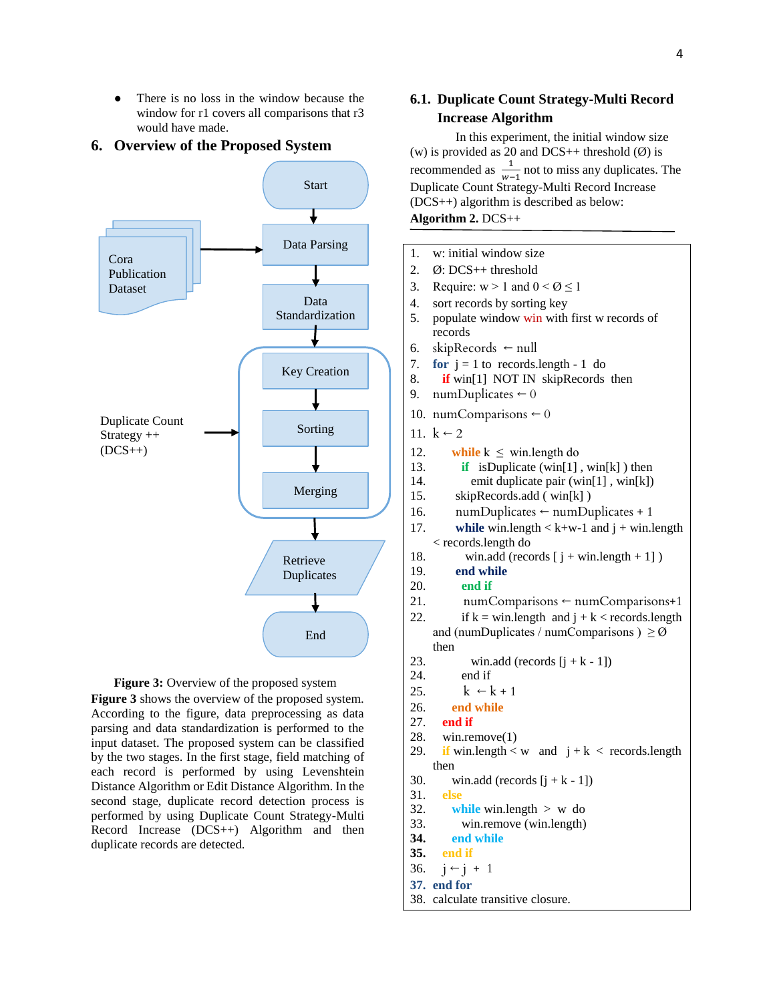There is no loss in the window because the window for r1 covers all comparisons that r3 would have made.

#### **6. Overview of the Proposed System**





**Figure 3** shows the overview of the proposed system. According to the figure, data preprocessing as data parsing and data standardization is performed to the input dataset. The proposed system can be classified by the two stages. In the first stage, field matching of each record is performed by using Levenshtein Distance Algorithm or Edit Distance Algorithm. In the second stage, duplicate record detection process is performed by using Duplicate Count Strategy-Multi Record Increase (DCS++) Algorithm and then duplicate records are detected.

# **6.1. Duplicate Count Strategy-Multi Record Increase Algorithm**

In this experiment, the initial window size (w) is provided as 20 and DCS++ threshold  $(\emptyset)$  is recommended as  $\frac{1}{w-1}$  not to miss any duplicates. The Duplicate Count Strategy-Multi Record Increase (DCS++) algorithm is described as below: **Algorithm 2.** DCS++

```
1. w: initial window size
2. Ø: DCS++ threshold
3. Require: w > 1 and 0 < \emptyset \le 14. sort records by sorting key
5. populate window win with first w records of 
    records
6. skipRecords \leftarrow null
7. for j = 1 to records. length - 1 do
8. if win[1] NOT IN skipRecords then
9. numDuplicates \leftarrow 010. numComparisons \leftarrow 011. k \leftarrow 212. while k \leq win.length do
13. if isDuplicate (win[1] , win[k] ) then
14. emit duplicate pair (win[1] , win[k])
15. skipRecords.add ( win[k] )
16. numDuplicates ← numDuplicates + 1
17. while win.length \lt k+w-1 and j + win.length< records.length do
18. win.add (records [i + win.length + 1])
19. end while
20. end if
21. numComparisons ← numComparisons+1
22. if k = \text{win.length} and j + k < records. length
    and (numDuplicates / numComparisons ) \geq \emptysetthen
23. win.add (records [i + k - 1])
24. end if
25. k \leftarrow k + 126. end while
27. end if
28. win.remove(1)
29. if win.length \lt w and j + k < records.length
    then
30. win.add (records [i + k - 1])
31. else
32. while win.length > w do
33. win.remove (win.length)
34. end while
35. end if
36. j \leftarrow j + 137. end for
38. calculate transitive closure.
```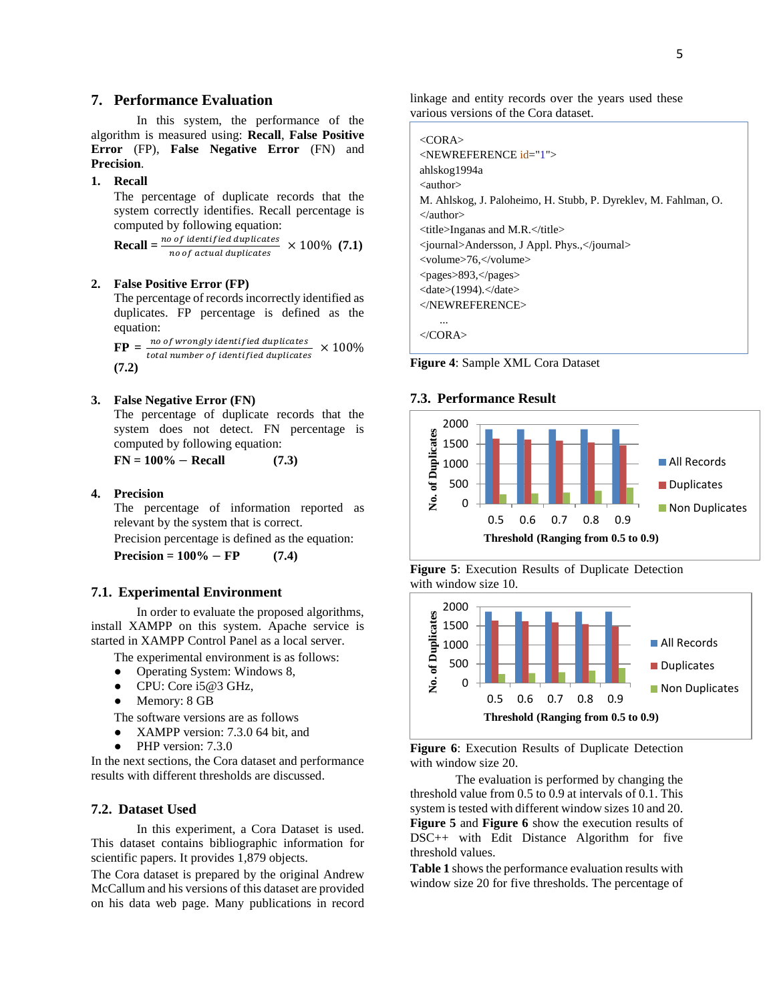## **7. Performance Evaluation**

In this system, the performance of the algorithm is measured using: **Recall**, **False Positive Error** (FP), **False Negative Error** (FN) and **Precision**.

#### **1. Recall**

The percentage of duplicate records that the system correctly identifies. Recall percentage is computed by following equation:

 $\textbf{Recall} = \frac{no \space of \space identified \space duplicates}{\text{res of \space states}} \times 100\% \space (7.1)$ no of actual duplicates

#### **2. False Positive Error (FP)**

The percentage of records incorrectly identified as duplicates. FP percentage is defined as the equation:

 $\mathbf{FP} = \frac{no \text{ of} \text{ strongly identified duplicates}}{total \text{ number of identified duplicates}}$  $\times$  100% **(7.2)**

#### **3. False Negative Error (FN)**

The percentage of duplicate records that the system does not detect. FN percentage is computed by following equation:

**FN = 100%** − **Recall (7.3)**

#### **4. Precision**

The percentage of information reported as relevant by the system that is correct.

Precision percentage is defined as the equation:

 $Precision = 100\% - FP$  (7.4)

#### **7.1. Experimental Environment**

In order to evaluate the proposed algorithms, install XAMPP on this system. Apache service is started in XAMPP Control Panel as a local server.

The experimental environment is as follows:

- Operating System: Windows 8,
- CPU: Core i5@3 GHz,
- Memory: 8 GB

The software versions are as follows

- XAMPP version: 7.3.0 64 bit, and
- PHP version: 7.3.0

In the next sections, the Cora dataset and performance results with different thresholds are discussed.

### **7.2. Dataset Used**

In this experiment, a Cora Dataset is used. This dataset contains bibliographic information for scientific papers. It provides 1,879 objects.

The Cora dataset is prepared by the original Andrew McCallum and his versions of this dataset are provided on his data web page. Many publications in record linkage and entity records over the years used these various versions of the Cora dataset.

| $\langle$ CORA>                                                 |
|-----------------------------------------------------------------|
| $\leq$ NEWREFERENCE $id = 1$ ">                                 |
| ahlskog1994a                                                    |
| $\langle$ author $>$                                            |
| M. Ahlskog, J. Paloheimo, H. Stubb, P. Dyreklev, M. Fahlman, O. |
| $\langle$ /author $\rangle$                                     |
| $\lt$ title>Inganas and M.R. $\lt$ /title>                      |
| $\langle$ journal>Andersson, J Appl. Phys., $\langle$ journal>  |
| <volume>76.</volume>                                            |
| $<$ pages>893, $<$ /pages>                                      |
| $\langle date \rangle$ (1994). $\langle date \rangle$           |
| $\langle$ NEWREFERENCE>                                         |
|                                                                 |
|                                                                 |

**Figure 4**: Sample XML Cora Dataset

#### **7.3. Performance Result**



**Figure 5**: Execution Results of Duplicate Detection with window size 10.



**Figure 6**: Execution Results of Duplicate Detection with window size 20.

The evaluation is performed by changing the threshold value from 0.5 to 0.9 at intervals of 0.1. This system is tested with different window sizes 10 and 20. **Figure 5** and **Figure 6** show the execution results of DSC++ with Edit Distance Algorithm for five threshold values.

**Table 1** shows the performance evaluation results with window size 20 for five thresholds. The percentage of